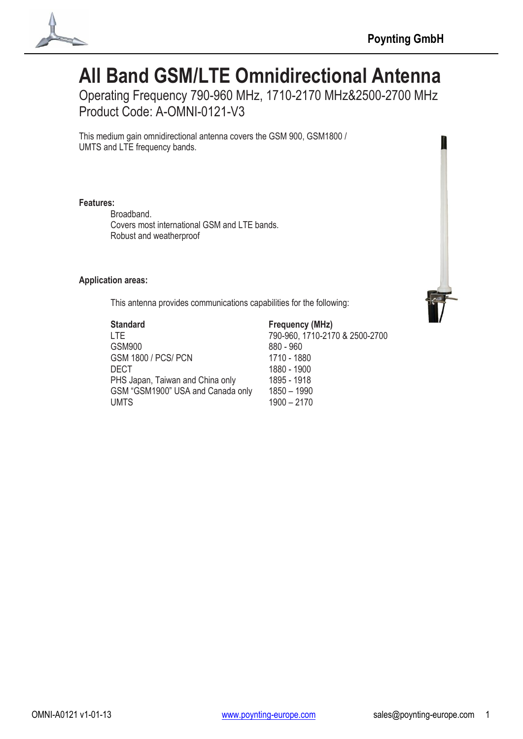

# **All Band GSM/LTE Omnidirectional Antenna**

Operating Frequency 790-960 MHz, 1710-2170 MHz&2500-2700 MHz Product Code: A-OMNI-0121-V3

This medium gain omnidirectional antenna covers the GSM 900, GSM1800 / UMTS and LTE frequency bands.

### **Features:**

Broadband. Covers most international GSM and LTE bands. Robust and weatherproof

### **Application areas:**

This antenna provides communications capabilities for the following:



| <b>Standard</b>                   | <b>Frequency (MHz)</b>         |
|-----------------------------------|--------------------------------|
| I TF                              | 790-960, 1710-2170 & 2500-2700 |
| <b>GSM900</b>                     | 880 - 960                      |
| <b>GSM 1800 / PCS/ PCN</b>        | 1710 - 1880                    |
| DECT                              | 1880 - 1900                    |
| PHS Japan, Taiwan and China only  | 1895 - 1918                    |
| GSM "GSM1900" USA and Canada only | $1850 - 1990$                  |
| <b>UMTS</b>                       | $1900 - 2170$                  |